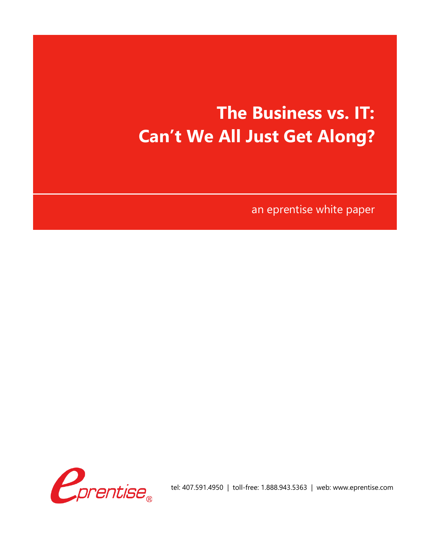# **The Business vs. IT: Can't We All Just Get Along?**

an eprentise white paper



tel: 407.591.4950 | toll-free: 1.888.943.5363 | web: www.eprentise.com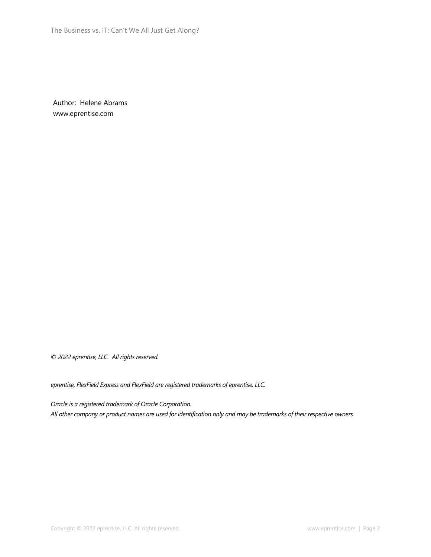Author: Helene Abrams www.eprentise.com

*© 2022 eprentise, LLC. All rights reserved.*

*eprentise, FlexField Express and FlexField are registered trademarks of eprentise, LLC.*

*Oracle is a registered trademark of Oracle Corporation. All other company or product names are used for identification only and may be trademarks of their respective owners.*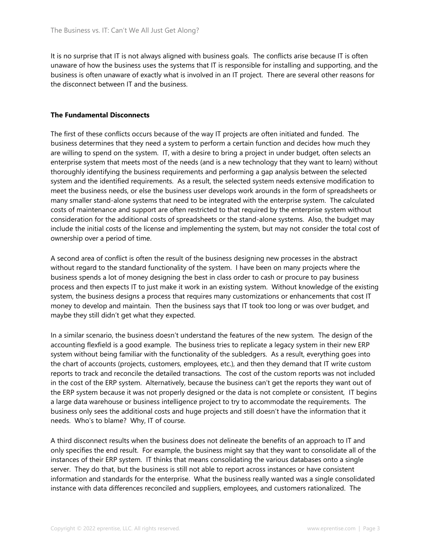It is no surprise that IT is not always aligned with business goals. The conflicts arise because IT is often unaware of how the business uses the systems that IT is responsible for installing and supporting, and the business is often unaware of exactly what is involved in an IT project. There are several other reasons for the disconnect between IT and the business.

## **The Fundamental Disconnects**

The first of these conflicts occurs because of the way IT projects are often initiated and funded. The business determines that they need a system to perform a certain function and decides how much they are willing to spend on the system. IT, with a desire to bring a project in under budget, often selects an enterprise system that meets most of the needs (and is a new technology that they want to learn) without thoroughly identifying the business requirements and performing a gap analysis between the selected system and the identified requirements. As a result, the selected system needs extensive modification to meet the business needs, or else the business user develops work arounds in the form of spreadsheets or many smaller stand-alone systems that need to be integrated with the enterprise system. The calculated costs of maintenance and support are often restricted to that required by the enterprise system without consideration for the additional costs of spreadsheets or the stand-alone systems. Also, the budget may include the initial costs of the license and implementing the system, but may not consider the total cost of ownership over a period of time.

A second area of conflict is often the result of the business designing new processes in the abstract without regard to the standard functionality of the system. I have been on many projects where the business spends a lot of money designing the best in class order to cash or procure to pay business process and then expects IT to just make it work in an existing system. Without knowledge of the existing system, the business designs a process that requires many customizations or enhancements that cost IT money to develop and maintain. Then the business says that IT took too long or was over budget, and maybe they still didn't get what they expected.

In a similar scenario, the business doesn't understand the features of the new system. The design of the accounting flexfield is a good example. The business tries to replicate a legacy system in their new ERP system without being familiar with the functionality of the subledgers. As a result, everything goes into the chart of accounts (projects, customers, employees, etc.), and then they demand that IT write custom reports to track and reconcile the detailed transactions. The cost of the custom reports was not included in the cost of the ERP system. Alternatively, because the business can't get the reports they want out of the ERP system because it was not properly designed or the data is not complete or consistent, IT begins a large data warehouse or business intelligence project to try to accommodate the requirements. The business only sees the additional costs and huge projects and still doesn't have the information that it needs. Who's to blame? Why, IT of course.

A third disconnect results when the business does not delineate the benefits of an approach to IT and only specifies the end result. For example, the business might say that they want to consolidate all of the instances of their ERP system. IT thinks that means consolidating the various databases onto a single server. They do that, but the business is still not able to report across instances or have consistent information and standards for the enterprise. What the business really wanted was a single consolidated instance with data differences reconciled and suppliers, employees, and customers rationalized. The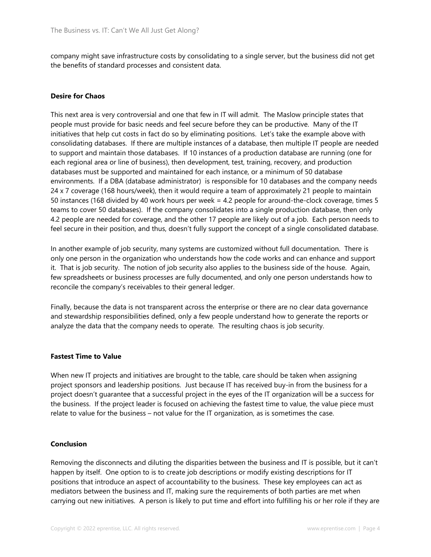company might save infrastructure costs by consolidating to a single server, but the business did not get the benefits of standard processes and consistent data.

# **Desire for Chaos**

This next area is very controversial and one that few in IT will admit. The Maslow principle states that people must provide for basic needs and feel secure before they can be productive. Many of the IT initiatives that help cut costs in fact do so by eliminating positions. Let's take the example above with consolidating databases. If there are multiple instances of a database, then multiple IT people are needed to support and maintain those databases. If 10 instances of a production database are running (one for each regional area or line of business), then development, test, training, recovery, and production databases must be supported and maintained for each instance, or a minimum of 50 database environments. If a DBA (database administrator) is responsible for 10 databases and the company needs 24 x 7 coverage (168 hours/week), then it would require a team of approximately 21 people to maintain 50 instances (168 divided by 40 work hours per week = 4.2 people for around-the-clock coverage, times 5 teams to cover 50 databases). If the company consolidates into a single production database, then only 4.2 people are needed for coverage, and the other 17 people are likely out of a job. Each person needs to feel secure in their position, and thus, doesn't fully support the concept of a single consolidated database.

In another example of job security, many systems are customized without full documentation. There is only one person in the organization who understands how the code works and can enhance and support it. That is job security. The notion of job security also applies to the business side of the house. Again, few spreadsheets or business processes are fully documented, and only one person understands how to reconcile the company's receivables to their general ledger.

Finally, because the data is not transparent across the enterprise or there are no clear data governance and stewardship responsibilities defined, only a few people understand how to generate the reports or analyze the data that the company needs to operate. The resulting chaos is job security.

### **Fastest Time to Value**

When new IT projects and initiatives are brought to the table, care should be taken when assigning project sponsors and leadership positions. Just because IT has received buy-in from the business for a project doesn't guarantee that a successful project in the eyes of the IT organization will be a success for the business. If the project leader is focused on achieving the fastest time to value, the value piece must relate to value for the business – not value for the IT organization, as is sometimes the case.

#### **Conclusion**

Removing the disconnects and diluting the disparities between the business and IT is possible, but it can't happen by itself. One option to is to create job descriptions or modify existing descriptions for IT positions that introduce an aspect of accountability to the business. These key employees can act as mediators between the business and IT, making sure the requirements of both parties are met when carrying out new initiatives. A person is likely to put time and effort into fulfilling his or her role if they are